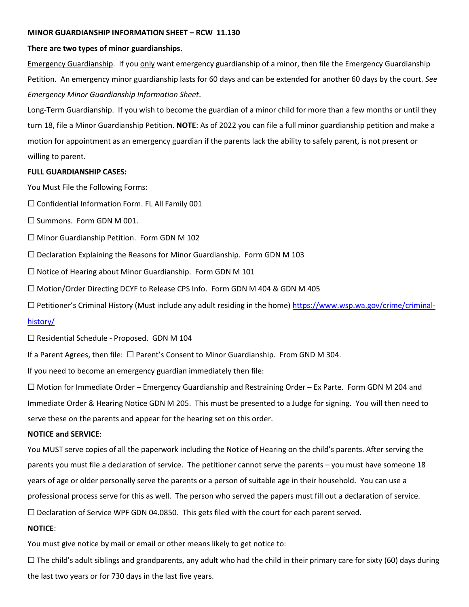#### **MINOR GUARDIANSHIP INFORMATION SHEET – RCW 11.130**

#### **There are two types of minor guardianships**.

Emergency Guardianship. If you only want emergency guardianship of a minor, then file the Emergency Guardianship Petition. An emergency minor guardianship lasts for 60 days and can be extended for another 60 days by the court. *See Emergency Minor Guardianship Information Sheet*.

Long-Term Guardianship. If you wish to become the guardian of a minor child for more than a few months or until they turn 18, file a Minor Guardianship Petition. **NOTE**: As of 2022 you can file a full minor guardianship petition and make a motion for appointment as an emergency guardian if the parents lack the ability to safely parent, is not present or willing to parent.

#### **FULL GUARDIANSHIP CASES:**

You Must File the Following Forms:

 $\Box$  Confidential Information Form. FL All Family 001

☐ Summons. Form GDN M 001.

☐ Minor Guardianship Petition. Form GDN M 102

 $\Box$  Declaration Explaining the Reasons for Minor Guardianship. Form GDN M 103

☐ Notice of Hearing about Minor Guardianship. Form GDN M 101

☐ Motion/Order Directing DCYF to Release CPS Info. Form GDN M 404 & GDN M 405

☐ Petitioner's Criminal History (Must include any adult residing in the home) [https://www.wsp.wa.gov/crime/criminal-](https://www.wsp.wa.gov/crime/criminal-history/)

## [history/](https://www.wsp.wa.gov/crime/criminal-history/)

☐ Residential Schedule - Proposed. GDN M 104

If a Parent Agrees, then file: ☐ Parent's Consent to Minor Guardianship. From GND M 304.

If you need to become an emergency guardian immediately then file:

☐ Motion for Immediate Order – Emergency Guardianship and Restraining Order – Ex Parte. Form GDN M 204 and Immediate Order & Hearing Notice GDN M 205. This must be presented to a Judge for signing. You will then need to serve these on the parents and appear for the hearing set on this order.

# **NOTICE and SERVICE**:

You MUST serve copies of all the paperwork including the Notice of Hearing on the child's parents. After serving the parents you must file a declaration of service. The petitioner cannot serve the parents – you must have someone 18 years of age or older personally serve the parents or a person of suitable age in their household. You can use a professional process serve for this as well. The person who served the papers must fill out a declaration of service.

 $\Box$  Declaration of Service WPF GDN 04.0850. This gets filed with the court for each parent served.

## **NOTICE**:

You must give notice by mail or email or other means likely to get notice to:

 $\Box$  The child's adult siblings and grandparents, any adult who had the child in their primary care for sixty (60) days during the last two years or for 730 days in the last five years.